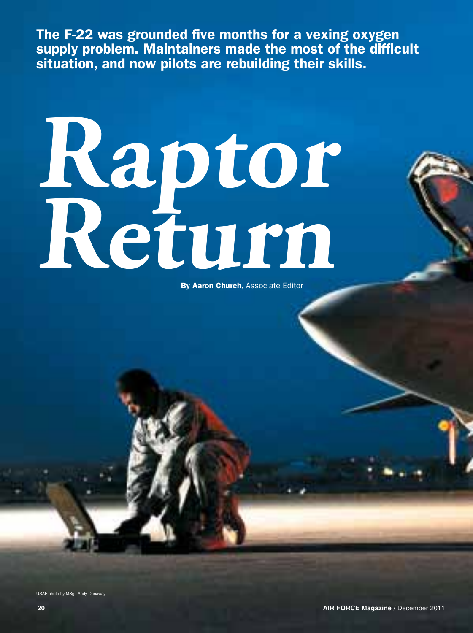The F-22 was grounded five months for a vexing oxygen supply problem. Maintainers made the most of the difficult situation, and now pilots are rebuilding their skills.

**Raptor Return**

By Aaron Church, Associate Editor

USAF photo by MSgt. Andy Dunaway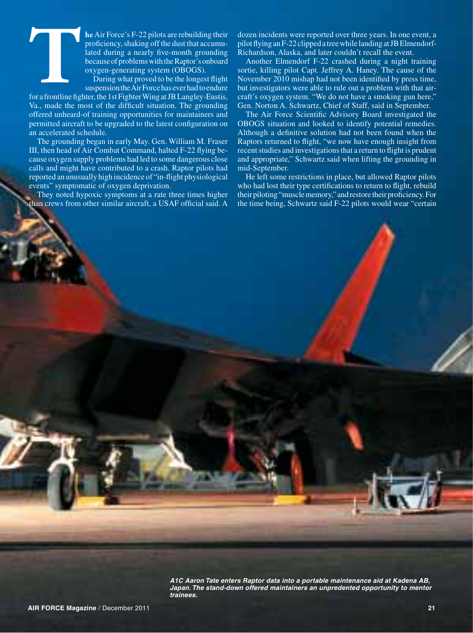**he** Air Force's F-22 pilots are rebuilding their proficiency, shaking off the dust that accumulated during a nearly five-month grounding because of problems with the Raptor's onboard oxygen-generating system (OBOGS).

During what proved to be the longest flight suspension the Air Force has ever had to endure

for a frontline fighter, the 1st Fighter Wing at JB Langley-Eustis, Va., made the most of the difficult situation. The grounding offered unheard-of training opportunities for maintainers and permitted aircraft to be upgraded to the latest configuration on an accelerated schedule. **The Contract of Section 4 and Section** 4 and 5 and 5 and 5 and 5 and 5 and 5 and 5 and 5 and 5 and 5 and 5 and 5 and 5 and 5 and 5 and 5 and 5 and 5 and 5 and 5 and 5 and 5 and 5 and 5 and 5 and 5 and 5 and 5 and 5 and 5

The grounding began in early May. Gen. William M. Fraser III, then head of Air Combat Command, halted F-22 flying because oxygen supply problems had led to some dangerous close calls and might have contributed to a crash. Raptor pilots had reported an unusually high incidence of "in-flight physiological events" symptomatic of oxygen deprivation.

They noted hypoxic symptoms at a rate three times higher than crews from other similar aircraft, a USAF official said. A

dozen incidents were reported over three years. In one event, a pilot flying an F-22 clipped a tree while landing at JB Elmendorf-Richardson, Alaska, and later couldn't recall the event.

Another Elmendorf F-22 crashed during a night training sortie, killing pilot Capt. Jeffrey A. Haney. The cause of the November 2010 mishap had not been identified by press time, but investigators were able to rule out a problem with that aircraft's oxygen system. "We do not have a smoking gun here," Gen. Norton A. Schwartz, Chief of Staff, said in September.

The Air Force Scientific Advisory Board investigated the OBOGS situation and looked to identify potential remedies. Although a definitive solution had not been found when the Raptors returned to flight, "we now have enough insight from recent studies and investigations that a return to flight is prudent and appropriate," Schwartz said when lifting the grounding in mid-September.

He left some restrictions in place, but allowed Raptor pilots who had lost their type certifications to return to flight, rebuild their piloting "muscle memory," and restore their proficiency. For the time being, Schwartz said F-22 pilots would wear "certain

*A1C Aaron Tate enters Raptor data into a portable maintenance aid at Kadena AB,*  Japan. The stand-down offered maintainers an unpredented opportunity to mentor *trainees.*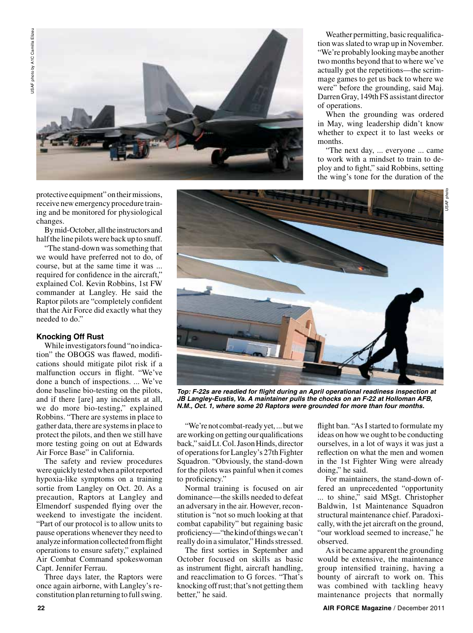

Weather permitting, basic requalification was slated to wrap up in November. "We're probably looking maybe another two months beyond that to where we've actually got the repetitions—the scrimmage games to get us back to where we were" before the grounding, said Maj. Darren Gray, 149th FS assistant director of operations.

When the grounding was ordered in May, wing leadership didn't know whether to expect it to last weeks or months.

"The next day, ... everyone ... came to work with a mindset to train to deploy and to fight," said Robbins, setting the wing's tone for the duration of the

protective equipment" on their missions, receive new emergency procedure training and be monitored for physiological changes.

By mid-October, all the instructors and half the line pilots were back up to snuff.

"The stand-down was something that we would have preferred not to do, of course, but at the same time it was ... required for confidence in the aircraft," explained Col. Kevin Robbins, 1st FW commander at Langley. He said the Raptor pilots are "completely confident that the Air Force did exactly what they needed to do."

## **Knocking Off Rust**

While investigators found "no indication" the OBOGS was flawed, modifications should mitigate pilot risk if a malfunction occurs in flight. "We've done a bunch of inspections. ... We've done baseline bio-testing on the pilots, and if there [are] any incidents at all, we do more bio-testing," explained Robbins. "There are systems in place to gather data, there are systems in place to protect the pilots, and then we still have more testing going on out at Edwards Air Force Base" in California.

The safety and review procedures were quickly tested when a pilot reported hypoxia-like symptoms on a training sortie from Langley on Oct. 20. As a precaution, Raptors at Langley and Elmendorf suspended flying over the weekend to investigate the incident. "Part of our protocol is to allow units to pause operations whenever they need to analyze information collected from flight operations to ensure safety," explained Air Combat Command spokeswoman Capt. Jennifer Ferrau.

Three days later, the Raptors were once again airborne, with Langley's reconstitution plan returning to full swing.



*Top: F-22s are readied for flight during an April operational readiness inspection at JB Langley-Eustis, Va. A maintainer pulls the chocks on an F-22 at Holloman AFB, N.M., Oct. 1, where some 20 Raptors were grounded for more than four months.*

"We're not combat-ready yet, ... but we are working on getting our qualifications back," said Lt. Col. Jason Hinds, director of operations for Langley's 27th Fighter Squadron. "Obviously, the stand-down for the pilots was painful when it comes to proficiency."

Normal training is focused on air dominance—the skills needed to defeat an adversary in the air. However, reconstitution is "not so much looking at that combat capability" but regaining basic proficiency—"the kind of things we can't really do in a simulator," Hinds stressed.

The first sorties in September and October focused on skills as basic as instrument flight, aircraft handling, and reacclimation to G forces. "That's knocking off rust; that's not getting them better," he said.

flight ban. "As I started to formulate my ideas on how we ought to be conducting ourselves, in a lot of ways it was just a reflection on what the men and women in the 1st Fighter Wing were already doing," he said.

For maintainers, the stand-down offered an unprecedented "opportunity ... to shine," said MSgt. Christopher Baldwin, 1st Maintenance Squadron structural maintenance chief. Paradoxically, with the jet aircraft on the ground, "our workload seemed to increase," he observed.

As it became apparent the grounding would be extensive, the maintenance group intensified training, having a bounty of aircraft to work on. This was combined with tackling heavy maintenance projects that normally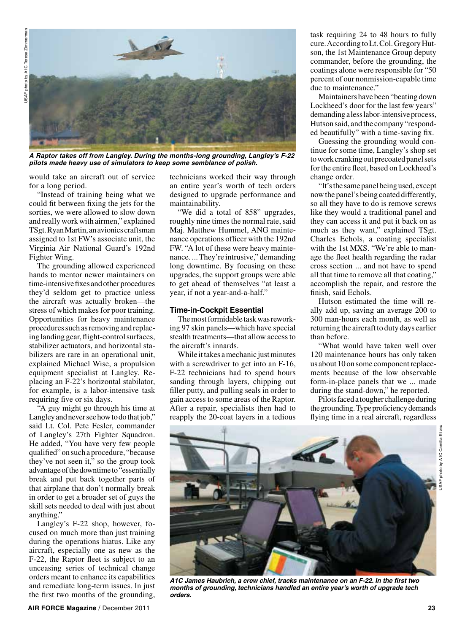

*A Raptor takes off from Langley. During the months-long grounding, Langley's F-22 pilots made heavy use of simulators to keep some semblance of polish.*

would take an aircraft out of service for a long period.

"Instead of training being what we could fit between fixing the jets for the sorties, we were allowed to slow down and really work with airmen," explained TSgt. Ryan Martin, an avionics craftsman assigned to 1st FW's associate unit, the Virginia Air National Guard's 192nd Fighter Wing.

The grounding allowed experienced hands to mentor newer maintainers on time-intensive fixes and other procedures they'd seldom get to practice unless the aircraft was actually broken—the stress of which makes for poor training. Opportunities for heavy maintenance procedures such as removing and replacing landing gear, flight-control surfaces, stabilizer actuators, and horizontal stabilizers are rare in an operational unit, explained Michael Wise, a propulsion equipment specialist at Langley. Replacing an F-22's horizontal stabilator, for example, is a labor-intensive task requiring five or six days.

"A guy might go through his time at Langley and never see how to do that job," said Lt. Col. Pete Fesler, commander of Langley's 27th Fighter Squadron. He added, "You have very few people qualified" on such a procedure, "because they've not seen it," so the group took advantage of the downtime to "essentially break and put back together parts of that airplane that don't normally break in order to get a broader set of guys the skill sets needed to deal with just about anything."

Langley's F-22 shop, however, focused on much more than just training during the operations hiatus. Like any aircraft, especially one as new as the F-22, the Raptor fleet is subject to an unceasing series of technical change orders meant to enhance its capabilities and remediate long-term issues. In just the first two months of the grounding, technicians worked their way through an entire year's worth of tech orders designed to upgrade performance and maintainability.

"We did a total of 858" upgrades, roughly nine times the normal rate, said Maj. Matthew Hummel, ANG maintenance operations officer with the 192nd FW. "A lot of these were heavy maintenance. ... They're intrusive," demanding long downtime. By focusing on these upgrades, the support groups were able to get ahead of themselves "at least a year, if not a year-and-a-half."

## **Time-in-Cockpit Essential**

The most formidable task was reworking 97 skin panels—which have special stealth treatments—that allow access to the aircraft's innards.

While it takes a mechanic just minutes with a screwdriver to get into an F-16, F-22 technicians had to spend hours sanding through layers, chipping out filler putty, and pulling seals in order to gain access to some areas of the Raptor. After a repair, specialists then had to reapply the 20-coat layers in a tedious task requiring 24 to 48 hours to fully cure. According to Lt. Col. Gregory Hutson, the 1st Maintenance Group deputy commander, before the grounding, the coatings alone were responsible for "50 percent of our nonmission-capable time due to maintenance."

Maintainers have been "beating down Lockheed's door for the last few years" demanding a less labor-intensive process, Hutson said, and the company "responded beautifully" with a time-saving fix.

Guessing the grounding would continue for some time, Langley's shop set to work cranking out precoated panel sets for the entire fleet, based on Lockheed's change order.

"It's the same panel being used, except now the panel's being coated differently, so all they have to do is remove screws like they would a traditional panel and they can access it and put it back on as much as they want," explained TSgt. Charles Echols, a coating specialist with the 1st MXS. "We're able to manage the fleet health regarding the radar cross section ... and not have to spend all that time to remove all that coating," accomplish the repair, and restore the finish, said Echols.

Hutson estimated the time will really add up, saving an average 200 to 300 man-hours each month, as well as returning the aircraft to duty days earlier than before.

"What would have taken well over 120 maintenance hours has only taken us about 10 on some component replacements because of the low observable form-in-place panels that we ... made during the stand-down," he reported.

Pilots faced a tougher challenge during the grounding. Type proficiency demands flying time in a real aircraft, regardless





*A1C James Haubrich, a crew chief, tracks maintenance on an F-22. In the first two months of grounding, technicians handled an entire year's worth of upgrade tech orders.*